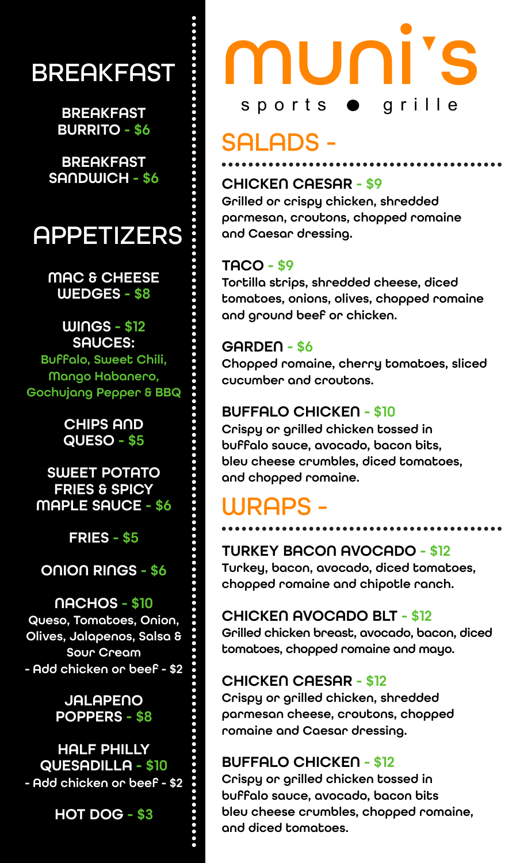## **BREAKFAST**

**BREAKFAST** BURRITO - \$6

**BREAKFAST** 

### **APPETIZERS**

MAC & CHEESE WEDGES - \$8

#### WINGS - \$12 SAUCES: Buffalo, Sweet Chili,

Mango Habanero, Gochujang Pepper & BBQ

> CHIPS AND QUESO - \$5

SWEET POTATO FRIES & SPICY MAPLE SAUCE - \$6

FRIES - \$5

ONION RINGS - \$6

#### NACHOS - \$10 Queso, Tomatoes, Onion, Olives, Jalapenos, Salsa & Sour Cream - Add chicken or beef - \$2

#### **JALAPENO** POPPERS - \$8

#### HALF PHILLY QUESADILLA - \$10 - Add chicken or beef - \$2

HOT DOG - \$3

# muni s sports  $\bullet$  grille

# SALADS -

#### SANDWICH - \$6 CHICKEN CAESAR - \$9

Grilled or crispy chicken, shredded parmesan, croutons, chopped romaine and Caesar dressing.

#### TACO - \$9

Tortilla strips, shredded cheese, diced tomatoes, onions, olives, chopped romaine and ground beef or chicken.

#### GARDEN - \$6

Chopped romaine, cherry tomatoes, sliced cucumber and croutons.

#### BUFFALO CHICKEN - \$10

Crispy or grilled chicken tossed in buffalo sauce, avocado, bacon bits, bleu cheese crumbles, diced tomatoes, and chopped romaine.

## WRAPS -

#### TURKEY BACON AVOCADO - \$12

Turkey, bacon, avocado, diced tomatoes, chopped romaine and chipotle ranch.

#### CHICKEN AVOCADO BLT - \$12

Grilled chicken breast, avocado, bacon, diced tomatoes, chopped romaine and mayo.

#### CHICKEN CAESAR - \$12

Crispy or grilled chicken, shredded parmesan cheese, croutons, chopped romaine and Caesar dressing.

#### BUFFALO CHICKEN - \$12

Crispy or grilled chicken tossed in buffalo sauce, avocado, bacon bits bleu cheese crumbles, chopped romaine, and diced tomatoes.